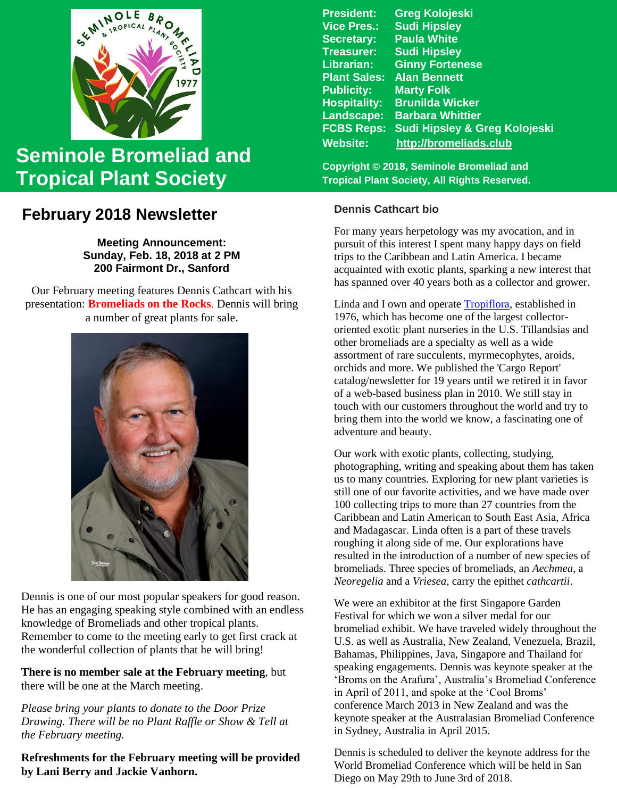

# **Seminole Bromeliad and Tropical Plant Society**

# **February 2018 Newsletter**

**Meeting Announcement: Sunday, Feb. 18, 2018 at 2 PM 200 Fairmont Dr., Sanford**

 Our February meeting features Dennis Cathcart with his  presentation: **Bromeliads on the Rocks**. Dennis will bring a number of great plants for sale.



Dennis is one of our most popular speakers for good reason. He has an engaging speaking style combined with an endless knowledge of Bromeliads and other tropical plants. Remember to come to the meeting early to get first crack at the wonderful collection of plants that he will bring!

**There is no member sale at the February meeting**, but there will be one at the March meeting.

*Please bring your plants to donate to the Door Prize Drawing. There will be no Plant Raffle or Show & Tell at the February meeting.*

**Refreshments for the February meeting will be provided by Lani Berry and Jackie Vanhorn.**

**President: Greg Kolojeski Vice Pres.: Sudi Hipsley Secretary: Paula White Treasurer: Sudi Hipsley Librarian: Ginny Fortenese Plant Sales: Alan Bennett Marty Folk Hospitality: Brunilda Wicker Landscape: Barbara Whittier FCBS Reps: Sudi Hipsley & Greg Kolojeski Website: [http://bromeliads.club](http://bromeliads.club/)**

**Copyright © 2018, Seminole Bromeliad and Tropical Plant Society, All Rights Reserved.**

### **Dennis Cathcart bio**

For many years herpetology was my avocation, and in pursuit of this interest I spent many happy days on field trips to the Caribbean and Latin America. I became acquainted with exotic plants, sparking a new interest that has spanned over 40 years both as a collector and grower.

Linda and I own and operate [Tropiflora,](http://tropiflora.com/) established in 1976, which has become one of the largest collectororiented exotic plant nurseries in the U.S. Tillandsias and other bromeliads are a specialty as well as a wide assortment of rare succulents, myrmecophytes, aroids, orchids and more. We published the 'Cargo Report' catalog/newsletter for 19 years until we retired it in favor of a web-based business plan in 2010. We still stay in touch with our customers throughout the world and try to bring them into the world we know, a fascinating one of adventure and beauty.

Our work with exotic plants, collecting, studying, photographing, writing and speaking about them has taken us to many countries. Exploring for new plant varieties is still one of our favorite activities, and we have made over 100 collecting trips to more than 27 countries from the Caribbean and Latin American to South East Asia, Africa and Madagascar. Linda often is a part of these travels roughing it along side of me. Our explorations have resulted in the introduction of a number of new species of bromeliads. Three species of bromeliads, an *Aechmea*, a *Neoregelia* and a *Vriesea*, carry the epithet *cathcartii*.

We were an exhibitor at the first Singapore Garden Festival for which we won a silver medal for our bromeliad exhibit. We have traveled widely throughout the U.S. as well as Australia, New Zealand, Venezuela, Brazil, Bahamas, Philippines, Java, Singapore and Thailand for speaking engagements. Dennis was keynote speaker at the 'Broms on the Arafura', Australia's Bromeliad Conference in April of 2011, and spoke at the 'Cool Broms' conference March 2013 in New Zealand and was the keynote speaker at the Australasian Bromeliad Conference in Sydney, Australia in April 2015.

Dennis is scheduled to deliver the keynote address for the World Bromeliad Conference which will be held in San Diego on May 29th to June 3rd of 2018.